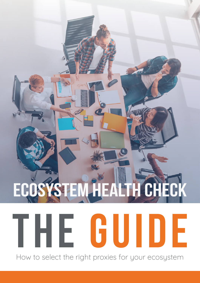# **The Guide EXPLORED HEALTH CHECK**

How to select the right proxies for your ecosystem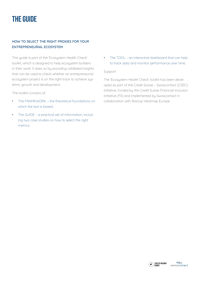## **HOW TO SELECT THE RIGHT PROXIES FOR YOUR ENTREPRENEURIAL ECOSYSTEM**

This guide is part of the 'Ecosystem Health Check' toolkit, which is designed to help ecosystem builders in their work. It does so by providing validated insights that can be used to check whether an entrepreneurial ecosystem project is on the right track to achieve systemic growth and development.

The toolkit consists of::

- The FRAMEWORK the theoretical foundations on which the tool is based;
- The GUIDE a practical set of information, including two case studies on how to select the right metrics;

• The TOOL – an interactive dashboard that can help to track data and monitor performance over time.

### Support:

The 'Ecosystem Health Check' toolkit has been developed as part of the Credit Suisse – Swisscontact (CSSC) Initiative, funded by the Credit Suisse Financial Inclusion Initiative (FII) and implemented by Swisscontact in collaboration with Startup Heatmap Europe.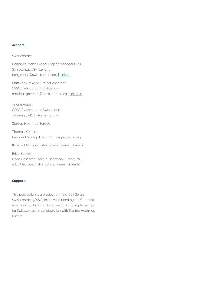#### **Authors:**

#### Swisscontact

Benjamin Meier, Global Project Manager CSSC, Swisscontact, Switzerland beny.meier@swisscontact.org | [LinkedIn](https://www.linkedin.com/in/benymeier/)

Matthias Grawehr, Project Assistant, CSSC, Swisscontact, Switzerland matthias.grawehr@swisscontact.org | [LinkedIn](https://www.linkedin.com/in/matthiasgrawehr/)

Ariane Appel, CSSC, Swisscontact, Switzerland ariane.appel@swisscontact.org

#### Startup Heatmap Europe

Thomas Kösters, President Startup Heatmap Europe, Germany

thomas@europeanstartupinitiative.eu | [LinkedIn](https://www.linkedin.com/in/thomas-k%C3%B6sters-8602a247/)

Erica Santini, Head Research Startup Heatmap Europe, Italy erica@europeanstartupinitiative.eu | [LinkedIn](https://www.linkedin.com/in/erica-santini-a4072461/)

#### **Support:**

This publication is a product of the Credit Suisse – Swisscontact (CSSC) Initiative, funded by the Credit Suisse Financial Inclusion Initiative (FII) and implemented by Swisscontact in collaboration with Startup Heatmap Europe.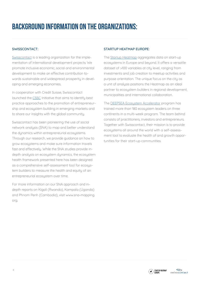# **Background Information on the organizations:**

## **SWISSCONTACT:**

[Swisscontact](http://www.swisscontact.org) is a leading organization for the implementation of international development projects. We promote inclusive economic, social and environmental development to make an effective contribution towards sustainable and widespread prosperity in developing and emerging economies.

In cooperation with Credit Suisse, Swisscontact launched the [CSSC](https://www.swisscontact.org/en/projects/cssc) Initiative that aims to identify best practice approaches to the promotion of entrepreneurship and ecosystem building in emerging markets and to share our insights with the global community.

Swisscontact has been pioneering the use of social network analysis (SNA) to map and better understand the dunamics within entrepreneurial ecosustems. Through our research, we provide guidance on how to grow ecosystems and make sure information travels fast and effectively. While the SNA studies provide indepth analysis on ecosystem dynamics, the ecosystem health framework presented here has been designed as a comprehensive self-assessment tool for ecosustem builders to measure the health and equity of an entrepreneurial ecosystem over time.

For more information on our SNA approach and indepth reports on Kigali (Rwanda), Kampala (Uganda) and Phnom Penh (Cambodia), visit www.sna-mapping. org.

## **STARTUP HEATMAP EUROPE:**

The [Startup Heatmap](https://www.startupheatmap.eu/) aggregates data on start-up ecosystems in Europe and beyond. It offers a versatile dataset of >100 variables at city level, ranging from investments and job creation to meetup activities and purpose orientation. The unique focus on the city as a unit of analysis positions the Heatmap as an ideal partner to ecosystem builders in regional development, municipalities and international collaboration.

The DEEPSEA Ecosustem Accelerator program has trained more than 180 ecosystem leaders on three continents in a multi-week program. The team behind consists of practitioners, investors and entrepreneurs. Together with Swisscontact, their mission is to provide ecosystems all around the world with a self-assessment tool to evaluate the health of and growth opportunities for their start-up communities.

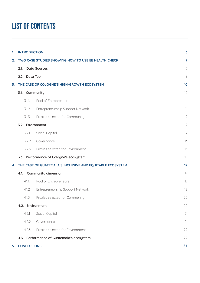# **List of contents**

| 1. | <b>INTRODUCTION</b> |                                                           | 6  |
|----|---------------------|-----------------------------------------------------------|----|
| 2. |                     | TWO CASE STUDIES SHOWING HOW TO USE EE HEALTH CHECK       | 7  |
|    | 2.1.                | <b>Data Sources</b>                                       | 7  |
|    | 2.2. Data Tool      |                                                           | 9  |
| 3. |                     | THE CASE OF COLOGNE'S HIGH-GROWTH ECOSYSTEM               | 10 |
|    | 3.1. Community      |                                                           | 10 |
|    | 3.1.1               | Pool of Entrepreneurs                                     | 11 |
|    | 3.1.2.              | Entrepreneurship Support Network                          | 11 |
|    | 3.1.3.              | Proxies selected for Community                            | 12 |
|    | 3.2. Environment    |                                                           | 12 |
|    | 3.2.1               | Social Capital                                            | 12 |
|    | 3.2.2.              | Governance                                                | 13 |
|    | 3.2.3.              | Proxies selected for Environment                          | 15 |
|    |                     | 3.3. Performance of Cologne's ecosystem                   | 15 |
| 4. |                     | THE CASE OF GUATEMALA'S INCLUSIVE AND EQUITABLE ECOSYSTEM | 17 |
|    | 4.1.                | Community dimension                                       | 17 |
|    | 4.1.1.              | Pool of Entrepreneurs                                     | 17 |
|    | 4.1.2.              | Entrepreneurship Support Network                          | 18 |
|    | 4.1.3.              | Proxies selected for Community                            | 20 |
|    | 4.2. Environment    |                                                           | 20 |
|    | 4.2.1               | Social Capital                                            | 21 |
|    | 4.2.2.              | Governance                                                | 21 |
|    | 4.2.3.              | Proxies selected for Environment                          | 22 |
|    |                     | 4.3. Performance of Guatemala's ecosystem                 | 22 |
| 5. | <b>CONCLUSIONS</b>  |                                                           | 24 |
|    |                     |                                                           |    |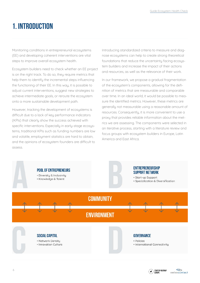# **1. INTRODUCTION**

Monitoring conditions in entrepreneurial ecosystems (EE) and developing coherent interventions are vital steps to improve overall ecosystem health.

Ecosystem builders need to check whether an EE project is on the right track. To do so, they require metrics that help them to identify the incremental steps influencing the functioning of their EE. In this way, it is possible to adjust current interventions, suggest new strategies to achieve intermediate goals, or reroute the ecosystem onto a more sustainable development path.

However, tracking the development of ecosystems is difficult due to a lack of key performance indicators (KPIs) that clearly show the success achieved with specific interventions. Especially in early-stage ecosystems, traditional KPIs such as funding numbers are low and volatile, employment statistics are hard to obtain, and the opinions of ecosystem founders are difficult to assess.

Introducing standardized criteria to measure and diagnose ecosystems can help to create strong theoretical foundations that reduce the uncertainty facing ecosystem builders and increase the impact of their actions and resources, as well as the relevance of their work.

In our framework, we propose a gradual fragmentation of the ecosystem's components, allowing for the definition of metrics that are measurable and comparable over time. In an ideal world, it would be possible to measure the identified metrics. However, these metrics are generally not measurable using a reasonable amount of resources. Consequently, it is more convenient to use a proxy that provides reliable information about the metrics we are assessing. The components were selected in an iterative process, starting with a literature review and focus groups with ecosystem builders in Europe, Latin America and East Africa.

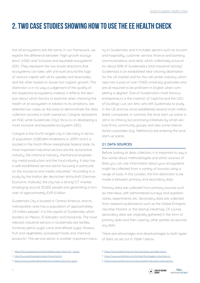# **2. TWO CASE STUDIES SHOWING HOW TO USE THE EE HEALTH CHECK**

Not all ecosustems are the same. In our framework, we explore the difference between 'high-growth ecosystems' (HGE) and 'inclusive and equitable ecosystems' (IEE). They represent the two broad directions that ecosystems can take, with one built around the logic of venture capital with all its upsides and downsides, and the other based on slower but organic growth. This distinction is in no way a judgement of the quality of the respective ecosystems; instead, it reflects the decision about which factors to examine when checking the health of an ecosystem in relation to its ambitions. We selected two cases as the basis to demonstrate the data collection process in both scenarios: Cologne represents an HGE, while Guatemala City's focus is on developing a more inclusive and equitable ecosystem (IEE).

Cologne is the fourth-largest city in Germany in terms of population (1,085,664 inhabitants in 2019<sup>1</sup>) and it is located in the North Rhine-Westphalia federal state. Its most important industrial sectors are the automotive industry, the chemical industry, mechanical engineering, metal-production and the food industry. It also has a well-established service sector focusing in particular on the insurance and media industries2. According to a study by the Institut der deutschen Wirtschaft (German Economic Institute), the city has a strong ICT market, employing around 25,000 people and generating a turnover of approximately EUR 6 billion.

Guatemala City is located in Central America, and its metropolitan area has a population of approximately 2.9 million people<sup>3</sup>. It is the capital of Guatemala, which borders on Mexico, El Salvador and Honduras. The most relevant industrial sectors in Guatemala are textiles, furniture, petrol, sugar cane and refined sugar, flowers, fruit and vegetables, processed foods and chemical products<sup>4</sup>. The service sector is another important indus-

try in Guatemala, and it includes sectors such as tourism and hospitality, customer service, finance and banking, communications, and retail, which collectively account for about 60% of Guatemala's total industrial activity<sup>5</sup>. Guatemala is an established near-shoring destination for the US market and for the call center industry, which taps into a pool of over 17,000 university graduates who are all required to be proficient in English when completing a degree<sup>6</sup>. One of Guatemala's most famous entrepreneurs is the inventor of Captcha and the CEO of Duolingo Luis von Ahn, who left Guatemala to study in the US and has since established several multi-million dollar companies. In contrast, the local start-up scene is still in its infancy but promising initiatives by small venture firms, community groups and also some international corporates (e.g. Telefonica) are entering the local start-up scene.

#### **2.1. DATA SOURCES**

Before looking at data collection, it is important to say a few words about methodologies and which sources of data you can use. Information about your ecosystems might be collected from a variety of sources using a range of tools. In this context, the first distinction to be made is between primary and secondary data.

Primary data are collected from primary sources such as interviews, self-administered surveys and questionnaires, experiments, etc. Secondary data are collected from research publications such as the Global Entrepreneurship Monitor or the Startup Heatmap. Of course, secondary data are originally gathered in the form of primary data and then used by other parties as secondary data.

There are advantages and disadvantages to both types of data, as set out in Table 1 below.

- 2.<http://www.startupregion.koeln/industry.html>
- 3. [https://www.worldscapitalcities.com/capital-facts-for-guat.](https://www.worldscapitalcities.com/capital-facts-for-guatemala-city-guatemala/)..
- 4. [https://www.bizlatinhub.com/es/industrias-grandes-hacer.](https://www.bizlatinhub.com/es/industrias-grandes-hacer-negocios-guatemala/)
- 5. [https://www.worldatlas.com/articles/the-biggest-industries-in...](https://www.worldatlas.com/articles/the-biggest-industries-in-guatemala.html#:~:text=The%20services%20sector%20is%20made%20up%20of%20several,make%20up%20just%20over%2060%25%20of%20Guatemala%27s%20economy)
- 6. [https://www.workforce.com/news/guatemala-sees-rapid-growt...](https://www.workforce.com/news/guatemala-sees-rapid-growth-in-call-centers)



<sup>1.</sup> [https://ec.europa.eu/eurostat/databrowser/view/urb\\_cpop1...](https://ec.europa.eu/eurostat/databrowser/view/urb_cpop1/default/table?lang=en.)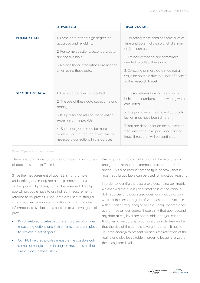|                       | <b>ADVANTAGE</b>                                                                                                                                                                                                                                                                          | <b>DISADVANTAGES</b>                                                                                                                                                                                                                                                                                     |
|-----------------------|-------------------------------------------------------------------------------------------------------------------------------------------------------------------------------------------------------------------------------------------------------------------------------------------|----------------------------------------------------------------------------------------------------------------------------------------------------------------------------------------------------------------------------------------------------------------------------------------------------------|
| <b>PRIMARY DATA</b>   | 1. These data offer a high degree of<br>accuracy and reliability.<br>2. For some questions, secondary data<br>are not available.<br>3. No additional precautions are needed<br>when using these data.                                                                                     | 1. Collecting these data can take a lot of<br>time and potentially also a lot of (finan-<br>cial) resources.<br>2. Trained personnel are sometimes<br>needed to collect these data.<br>3. Collecting primary data may not al-<br>ways be possible due to a lack of access<br>to the research target.     |
| <b>SECONDARY DATA</b> | 1. These data are easy to collect.<br>2. The use of these data saves time and<br>money.<br>3. It is possible to rely on the scientific<br>expertise of the provider.<br>4. Secondary data may be more<br>reliable than primary data, e.g. due to<br>necessary corrections in the dataset. | 1. It is sometimes hard to see what is<br>behind the numbers and how they were<br>calculated.<br>2. The purpose of the original data col-<br>lection may have been different.<br>3. You are dependent on the publication<br>frequency of a third party and cannot<br>know if research will be continued. |

Table 1: Types of data you can use.

There are advantages and disadvantages to both types of data, as set out in Table 1.

Since the measurement of your EE is not a simple undertaking and many metrics, e.g. innovation culture or the quality of policies, cannot be assessed directly, you will probably have to use indirect measurements referred to as 'proxies'. Proxy data are used to study a situation, phenomenon or condition for which no direct information is available. It is possible to use two types of proxy:

- INPUT-related proxies in EE refer to a set of proxies measuring actions and instruments that are in place to achieve a set of goals.
- OUTPUT-related proxies measure the possible outcomes of tangible and intangible mechanisms that are in place in the system.

We propose using a combination of the two types of proxy to make the measurement process more balanced. This also means that the type of proxy that is most readily available can be used for practical reasons.

In order to identify the best proxy describing our metric, we checked the quality and timeliness of the various data sources and addressed questions including: Can we trust the secondary data? Are these data available with sufficient frequency or are they only updated once every three or four years? If you think that your secondary data at city level are not reliable and you cannot find alternative data, you can use a sample. Remember that the size of the sample is very important. It has to be large enough to present an accurate reflection of the reality and also be suitable in order to be generalized at the ecosystem level.

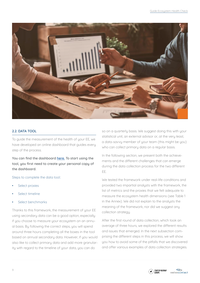

#### **2.2. DATA TOOL**

To guide the measurement of the health of your EE, we have developed an online dashboard that guides every step of the process.

**You can find the dashboard [here.](https://docs.google.com/spreadsheets/d/1qQ6spTNqO6RH9bSBTmH-tpJa38nIlejQmjBymLtLea8/edit#gid=1914283747) To start using the tool, you first need to create your personal copy of the dashboard.**

#### Steps to complete the data tool::

- Select proxies
- Select timeline
- Select benchmarks

Thanks to this framework, the measurement of your EE using secondary data can be a good option, especially if you choose to measure your ecosystem on an annual basis. Bu following the correct steps, you will spend around three hours completing all the boxes in the tool based on annual secondary data. However, if you would also like to collect primary data and add more granularity with regard to the timeline of your data, you can do

so on a quarterly basis. We suggest doing this with your statistical unit, an external advisor or, at the very least, a data-savvy member of your team (this might be you) who can collect primary data on a regular basis.

In the following section, we present both the achievements and the different challenges that can emerge during the data collection process for the two different EE.

We tested the framework under real-life conditions and provided two impartial analysts with the framework, the list of metrics and the proxies that we felt adequate to measure the ecosystem health dimensions (see Table 1 in the Annex). We did not explain to the analysts the meaning of the framework, nor did we suggest any collection strategy.

After the first round of data collection, which took an average of three hours, we explored the different results and issues that emerged. In the next subsection comprising the different steps in this process, we will show you how to avoid some of the pitfalls that we discovered and offer various examples of data collection strategies.

![](_page_8_Picture_14.jpeg)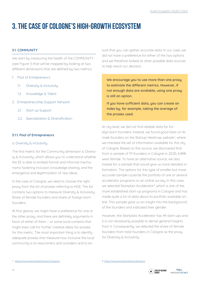# **3. THE CASE OF COLOGNE'S HIGH-GROWTH ECOSYSTEM**

## **3.1. COMMUNITY**

We start by measuring the health of the COMMUNITY (see Figure 1) that will be mapped by looking at two different dimensions that are defined by two metrics:

- 1. Pool of Entrepreneurs
	- 1.1. Diversity & Inclusivity
	- 1.2. Knowledge & Talent
- 2. Entrepreneurship Support Network
	- 2.1. Start-up Support
	- 2.2. Specialization & Diversification

#### **3.1.1. Pool of Entrepreneurs**

#### a. Diversity & Inclusivity

The first metric for the Community dimension is Diversity & Inclusivity, which allows you to understand whether the EE is able to embed formal and informal mechanisms fostering inclusion, knowledge sharing, and the emergence and legitimization of new ideas.

In the case of Cologne, we need to choose the right proxy from the list of proxies referring to HGE. The list contains two options to measure Diversity & Inclusivity: Share of female founders and share of foreign-born founders.

At first glance, we might have a preference for one or the other proxy, and there are definitely arguments in favor of either of them – or some local contexts that might even call for further creative ideas for proxies for this metric. The most important thing is to identify adequate proxies that measure how inclusive the local community is to newcomers and outsiders and to ensure that you can gather accurate data. In our case, we did not have a preference for either of the two options and we therefore looked at other possible data sources to help reach our decision.

**We encourage you to use more than one proxy to estimate the different metrics. However, if not enough data are available, using one proxy is still an option.**

**If you have sufficient data, you can create an index by, for example, taking the average of the proxies used.**

At city level, we did not find reliable data for foreign-born founders. Instead, we found good data on female founders on the Startup Heatmap website<sup>7</sup>, where we checked the set of information available for the city of Cologne. Based on this source, we discovered that from a sample of 111 founders in Cologne in 2020, 6.48% were female. To have an alternative source, we also looked for a sample that would give us more detailed information. The options for this type of smaller but more accurate sample could be the portfolio of one or several accelerator programs or an online survey. In this case, we selected Startplatz Accelerator<sup>8</sup>, which is one of the more established start-up programs in Cologne and has made quite a lot of data about its portfolio available online. This sample gave us an insight into the background of the founders and indicated their gender.

However, the Startplatz Accelerator has 49 start-ups and it is not necessarily possible to derive general insights from it. Consequently, we selected the share of female founders from total founders in Cologne as the proxy for Diversity & Inclusivity.

![](_page_9_Picture_22.jpeg)

<sup>7.</sup> <https://www.startupheatmap.eu/Cologne/> 8. <https://www.startplatz.de/accelerator/>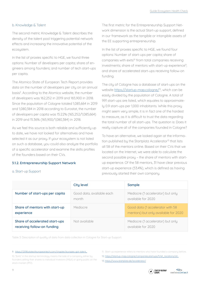#### b. Knowledge & Talent

The second metric Knowledge & Talent describes the density of the talent pool triggering potential network effects and increasing the innovative potential of the ecosystem.

In the list of proxies specific to HGE, we found three options: Number of developers per capita; share of engineers among founders; and number of tech start-ups per capita.

The Atomico State of European Tech Report provides data on the number of developers per city on an annual basis<sup>9</sup>. According to the Atomico website, the number of developers was 162,252 in 2019 and 165,900 in 2018. Since the population of Cologne totaled 1,085,664 in 2019 and 1,080,384 in 2018 according to Eurostat, the number of developers per capita was 15.22% (165,252/1,085,664) in 2019 and 15.36% (165,900/1,080,384) in 2018.

As we feel this source is both reliable and sufficiently up to date, we have not looked for alternatives and have selected it as our proxy. If your ecosystem is not listed on such a database, you could also analyze the portfolio of a specific accelerator and examine the skills profiles of the founders based on their CVs.

#### **3.1.2. Entrepreneurship Support Network**

a. Start-up Support

The first metric for the Entrepreneurship Support Network dimension is the actual Start-up support, defined in our framework as the tangible or intangible assets of the EE supporting entrepreneurship.

In the list of proxies specific to HGE, we found four options: Number of start-ups per capita; share of companies with exits<sup>10</sup> from total companies receiving investments; share of mentors with start-up experience<sup>11</sup>; and share of accelerated start-ups receiving follow-on funding.

The city of Cologne has a database of start-ups on the website https://startup-map.cologne/<sup>12</sup>, which can be easily divided by the population of Cologne. A total of 991 start-ups are listed, which equates to approximately 0.9 start-ups per 1,000 inhabitants. While this proxy might seem very simple, it is in fact one of the hardest to measure, as it is difficult to trust the data regarding the total number of all start-ups. The question is: Does it really capture all of the companies founded in Cologne?

To have an alternative, we looked again at the information published by the Startplatz Accelerator<sup>13</sup> that lists all 58 of the mentors online. Based on their CVs that we located on the Internet, we were able to calculate the second possible proxy – the share of mentors with startup experience. Of the 58 mentors, 31 have clear previous start-up experience (53.4%), which is defined as having previously started their own company.

|                                                               | City level                         | Sample                                                                   |
|---------------------------------------------------------------|------------------------------------|--------------------------------------------------------------------------|
| Number of start-ups per capita                                | Good data, available each<br>month | Mediocre (1 accelerator) but only<br>available for 2020                  |
| Share of mentors with start-up<br>experience                  | Mediocre                           | Good data (1 accelerator with 58<br>mentors) but only available for 2020 |
| Share of accelerated start-ups<br>receiving follow-on funding | Not available                      | Mediocre (1 accelerator) but only<br>available for 2020                  |

Table 3: Description of quality of data from data collection in Cologne for Start-up Support.

#### 9. https://2018.stateofeuropeantech.com/chapter/europes-got-talent...

- 11. Start-up experience refers to mentors who have founded a company before.
- 12. [https://startup-map.cologne/companies.startups/f/all\\_locations/all](https://startup-map.cologne/companies.startups/f/all_locations/allof_Cologne)...
- 13. <https://www.startplatz.de/accelerator/>

![](_page_10_Picture_19.jpeg)

<sup>10. &</sup>quot;Exits" in the startup terminology means the sale of a company, either by founders selling their shares to individual investors (M&A) or going public on the stock market (IPO).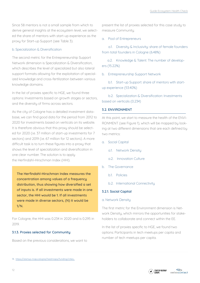Since 58 mentors is not a small sample from which to derive general insights at the ecosystem level, we selected the share of mentors with start-up experience as the proxy for Start-up Support (see Table 3).

### b. Specialization & Diversification

The second metric for the Entrepreneurship Support Network dimension is Specialization & Diversification, which describes the level of specialized but also lateral support formats allowing for the exploitation of specialized knowledge and cross-fertilization between various knowledge domains.

In the list of proxies specific to HGE, we found three options: Investments based on growth stages or sectors, and the diversity of firms across sectors.

As the city of Cologne has a detailed investment database, we can find good data for the period from 2012 to 2020 for investments based on verticals on its website. It is therefore obvious that this proxy should be selected for 2020 (i.e. 37 million of start-up investments for 7 sectors) and 2019 (i.e. 67 million for 12 sectors). A more difficult task is to turn these figures into a proxy that shows the level of specialization and diversification in one clear number. The solution is to apply the Herfindahl-Hirschman Index (HHI).

**The Herfindahl-Hirschman Index measures the concentration among values of a frequency distribution, thus showing how diversified a set of inputs is. If all investments were made in one sector, the HHI would be 1. If all investments were made in diverse sectors, (N) it would be 1/N.**

For Cologne, the HHI was 0.234 in 2020 and is 0.295 in 2019.

## **3.1.3. Proxies selected for Community**

Based on the previous considerations, we want to

present the list of proxies selected for this case study to measure Community.

## a. Pool of Entrepreneurs

 a.1. Diversity & Inclusivity: share of female founders from total founders in Cologne (6.48%)

 a.2. Knowledge & Talent: The number of developers (15.22%)

b. Entrepreneurship Support Network

 b.1. Start-up Support: share of mentors with startup experience (53.40%)

 b.2. Specialization & Diversification: Investments based on verticals (0.234)

## **3.2. ENVIRONMENT**

At this point, we start to measure the health of the ENVI-RONMENT (see Figure 1), which will be mapped by looking at two different dimensions that are each defined by two metrics:

- a. Social Capital
	- a.1. Network Density
	- a.2. Innovation Culture
- b. The Governance
	- b.1. Policies
	- b.2. International Connectivity

## **3.2.1. Social Capital**

#### a. Network Density

The first metric for the Environment dimension is Network Density, which mirrors the opportunities for stakeholders to collaborate and connect within the EE.

In the list of proxies specific to HGE, we found two options: Participants in tech meetups per capita and number of tech meetups per capita.

<sup>14.</sup> [https://startup-map.cologne/heatmaps/funding/cities...](https://startup-map.cologne/heatmaps/funding/cities/cologne/industries?sort=-y_2020)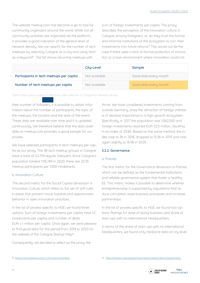The website meetup.com has become a go-to tool for community organizers around the world. While not all community activities are organized via the platform, it provides a good indication of the general level of network density. We can search for the number of tech meetups by selecting Cologne as a city and using 'tech' as a keyword<sup>15</sup>. The list shows recurring meetups with

sum of foreign investments per capita. This proxy describes the perception of the innovation culture in Cologne among foreigners, i.e. do they trust the formal and informal institutions of the ecosystem to turn their investments into future returns? This would not be the case if there were a lack of formal protection of innovation or a toxic environment where innovation could not

|                                         | City-Level    | <b>Sample</b>         |
|-----------------------------------------|---------------|-----------------------|
| Participants in tech meetups per capita | Not available | Good data every month |
| Number of tech meetups per capita       | Not available | Good data every month |

Table 4: Description quality of data from data collection in Cologne for Network Density

their number of followers. It is possible to obtain information about the number of participants, the topic of the meetups, the location and the date of the event. These data are available over time and it is updated continuously. We therefore believe that the data available on meetup.com provides a good sample for our proxies.

We have selected participants in tech meetups per capita as our proxy. The 38 tech meetup groups in Cologne have a total of 22,754 regular followers. Since Cologne's population totaled 1,118,789 in 2020, there are 20.35 meetup participants per 1,000 inhabitants.

#### b. Innovation Culture

The second metric for the Social Capital dimension is Innovation Culture, which refers to the set of soft rules in place that prevent moral hazards and opportunistic behavior in open innovation practices.

In the list of proxies specific to HGE, we found three options: Sum of foreign investments per capita; total VC investments per capita; and number of deals EUR > 1 million per capita. Once again, we were pleased to find good data for the period from 2014 to 2020 on the website of the Cologne Startup Map<sup>16</sup>.

Consequently, we decided to select as the proxy the

thrive. We have considered investments coming from outside Germany, since the attraction of foreign interest is of decisive importance in a high-growth ecosystem. Specifically, in 2017 the population was 1,082,000 and foreign investments reached EUR 22.5 million, resulting in an index of 20.80. Based on the same method, the index rose to 36 in 2018, dropped to 13.26 in 2019 and rose again slightly to 16.98 in 2020.

#### **3.2.2. Governance**

#### a. Policies

The first metric for the Governance dimension is Policies, which can be defined as the fundamental institutions and reliable governance system that foster a healthy EE. This metric makes it possible to determine whether entrepreneurship is supported by regulations that reduce corruption, ease business processes and increase partnerships.

In the list of proxies specific to HGE, we found two options: Ratings for ease of doing business and share of start-ups with no international headquarters.

In terms of the share of start-ups with no international headquarters, we found only mediocre data at city level.

<sup>15.</sup> [https://www.meetup.com/it-IT/fort=recommended...](https://www.meetup.com/it-IT/find/?allMeetups=false&keywords=tech&radius=16&userFreeform=K%C3%B6ln%2C+Germania&mcId=c1007701&change=yes&sort=recommended) 16. [https://startup-map.cologne/heatmaps/funding/cities/cologne/indus...](https://startup-map.cologne/heatmaps/funding/cities/cologne/industries?sort=-y_2020)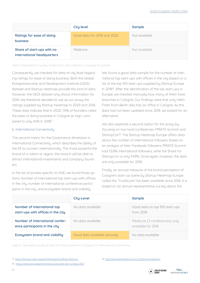|                                                          | <b>City level</b>           | Sample        |
|----------------------------------------------------------|-----------------------------|---------------|
| Ratings for ease of doing<br>business                    | Good data for 2018 and 2020 | Not available |
| Share of start-ups with no<br>international headquarters | Mediocre                    | Not available |

Table 5: Description of quality of data from data collection in Cologne for policies.

Consequently, we checked for data at city level regarding ratings for ease of doing business. Both the Global Entrepreneurship and Development Institute (GEDI) dataset and Startup Heatmap provide this kind of data. However, the GEDI dataset only shows information for 2018. We therefore decided to use as our proxy the ratings supplied by Startup Heatmap in 2020 and 2018. These data indicate that in 2020, 70% of founders rated the ease of doing business in Cologne as high, compared to only 42% in 2018<sup>17</sup>.

#### b. International Connectivity

The second metric for the Governance dimension is International Connectivity, which describes the ability of the EE to connect internationally. The more powerful the brand of a nation or region, the more it will be able to attract international investments and company founders.

In the list of proxies specific to HGE, we found three options: Number of international top start-ups with offices in the city, number of international conference participants in the city, and ecosystem brand and visibility.

We found a good data sample for the number of international top start-ups with offices in the city based on a list of the top 100 start-ups supplied by Startup Europe in 2018<sup>18</sup>. After the identification of the top start-ups in Europe, we checked manually how many of them have branches in Cologne. Our findings were that only Hello-Fresh from Berlin also has an office in Cologne. As this data had not been updated since 2018, we looked for an alternative.

We also explored a second option for the proxy by focusing on two local conferences: PIRATE Summit and StartupCon<sup>19</sup>. The Startup Heatmap Europe offers data about the number of international followers based on an analysis of their Facebook followers. PIRATE Summit had 52.8% international followers, while the Share for StartupCon is only 9.49%. Once again, however, the data are only available for 2018.

Finally, an annual measure of the brand perception of Cologne's start-up scene by Startup Heatmap Europe called the 'TrustScore' has been available since 2016. It is based on an annual representative survey about the

|                                                                   | City-Level                   | Sample                                               |
|-------------------------------------------------------------------|------------------------------|------------------------------------------------------|
| Number of international top<br>start-ups with offices in the city | No data available            | Good data on top 100 start-ups<br>from 2018          |
| Number of international confer-<br>ence participants in the city  | No data available            | Mediocre (2 conferences); only<br>available for 2018 |
| Ecosystem brand and visibility                                    | Good data available annually | No data available                                    |

Table 6: Description quality of data from data collection in Cologne for International Connectivity.

<sup>17.</sup> [https://startup-map.cologne/heatmaps/funding/cities/col...](https://startup-map.cologne/heatmaps/funding/cities/cologne/industries?sort=-y_2020)

<sup>18.</sup> <https://startupeuropepartnership.eu/sep-elite-tech-scaleup-100/>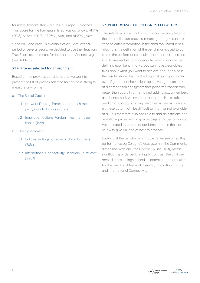founders' favorite start-up hubs in Europe. Cologne's TrustScore for the four years listed was as follows: 74.14% (2016), 64.66% (2017), 87.93% (2018) and 81.90% (2019).

Since only one proxy is available at city level over a period of several years, we decided to use the Heatmap TrustScore as the metric for International Connectivity (see Table 6).

### **3.1.4. Proxies selected for Environment**

Based on the previous considerations, we want to present the list of proxies selected for this case study to measure Environment:

- a. The Social Capital
	- a.1. Network Density: Participants in tech meetups per 1,000 inhabitants (20.35)
	- a.2. Innovation Culture: Foreign investments per capita (16.98)
- b. The Government
	- b.1. Policies: Ratings for ease of doing business (70%)
	- b.2. International Connectivity: Heatmap TrustScore (8.90%)

### **3.3. PERFORMANCE OF COLOGNE'S ECOSYSTEM**

The selection of the final proxy marks the completion of the data collection process, meaning that you can proceed to enter information in the data tool. What is still missing is the definition of the benchmarks used to calculate the performance results per metric. It is therefore vital to use realistic and adequate benchmarks. When defining your benchmarks, you can have clear objectives about what you want to achieve and, in this case, the results should be checked against your goal. However, if you do not have clear objectives, you can look at a comparison ecosystem that performs considerably better than yours in a metric and add its actual numbers as a benchmark. An even better approach is to take the median of a group of comparison ecosystems. However, these data might be difficult to find – or not available at all. It is therefore also possible to add an estimate of a realistic improvement in your ecosystem's performance. We indicated the name of our benchmark in the table below to give an idea of how to proceed.

Looking at the benchmarks (Table 7), we see a healthy performance by Cologne's ecosystem in the Community dimension, with only the Diversity & Inclusivity metric significantly underperforming. In contrast, the Environment dimension lags behind its potential – in particular for the metrics of Network Density, Innovation Culture and International Connectivity.

![](_page_14_Picture_14.jpeg)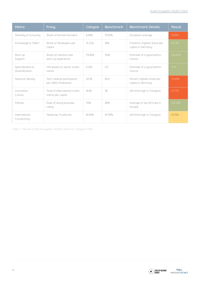| <b>Metric</b>                       | Proxy                                              | Cologne | <b>Benchmark</b> | <b>Benchmark Details</b>                          | Result  |
|-------------------------------------|----------------------------------------------------|---------|------------------|---------------------------------------------------|---------|
| Diversity & Inclusivity             | Share of female founders                           | 6.48%   | 15.50%           | European average                                  | 41.81%  |
| Knowledge & Talent                  | Share of developers per<br>capita                  | 15.22%  | 16%              | Frankfurt, highest share per<br>capita in Germany | 95.13%  |
| Start-up<br>Support                 | Share of mentors with<br>start-up experience       | 53.40%  | 50%              | Estimate of a good perfor-<br>mance               | 106.80% |
| Specialization &<br>Diversification | HHI based on sector invest-<br>ments               | 0.234   | 0.2              | Estimate of a good perfor-<br>mance               | 117%    |
| Network Density                     | Tech meetup participants<br>per 1,000 inhabitants  | 20.35   | 60.4             | Munich, highest share per<br>capita in Germany    | 33.69%  |
| Innovation<br>Culture               | Total of international invest-<br>ments per capita | 16.98   | 36               | (All-time high in Cologne)                        | 47.17%  |
| Policies                            | Ease of doing business<br>rating                   | 70%     | 68%              | Average of top 20 hubs in<br>Europe               | 102.94% |
| International<br>Connectivity       | <b>Heatmap TrustScore</b>                          | 81.90%  | 87.93%           | (All-time high in Cologne)                        | 93.14%  |

Table 7: Results of the Ecosystem Health Check for Cologne's HGE.

![](_page_15_Picture_3.jpeg)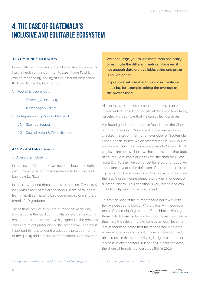# **4. THE CASE OF GUATEMALA'S INCLUSIVE AND EQUITABLE ECOSYSTEM**

#### **4.1. COMMUNITY DIMENSION**

In line with the previous case study, we start by measuring the health of the Community (see Figure 1), which can be mapped by looking at two different dimensions that are defined by two metrics:

#### 1. Pool of Entrepreneurs

- 1.1. Diversity & Inclusivity
- 1.2. Knowledge & Talent
- 2. Entrepreneurship Support Network
	- 2.1. Start-up Support
	- 2.2. Specialization & Diversification

#### **4.1.1. Pool of Entrepreneurs**

#### a. Diversity & Inclusivity

In the case of Guatemala, we need to choose the right proxy from the list of proxies referring to Inclusive and Equitable EE (IEE).

In the list, we found three options to measure Diversity & Inclusivity: Share of female founders, share of founders from minorities/marginalized communities, and share of female PhD araduates.

These three proxies serve the purpose of measuring how inclusive the local community is vis-à-vis newcomers and outsiders. As we have highlighted in the previous cases, we might prefer one or the other proxy. The most important thing is to identify adequate proxies in terms of the quality and timeliness of the various data sources.

**We encourage you to use more than one proxy to estimate the different metrics. However, if not enough data are available, using one proxy is still an option.**

**If you have sufficient data, you can create an index by, for example, taking the average of the proxies used.**

Also in this case, the data collection process can be implemented considering city-level data or, alternatively, by selecting a sample that we can collect ourselves.

We found good data on female founders on the Global Entrepreneurship Monitor website, where we have checked the set of information available for Guatemala. Based on this source, we discovered that in 2019, 45% of entrepreneurs in the country were female. Since data at city level are not available, we have to assume that data at country level more or less mirror the data for Guatemala City. Further, we do not yet have data for 2020. An important caveat is the definition of entrepreneurs used by the Global Entrepreneurship Monitor, which describes them as "nascent entrepreneurs or owner-managers of a 'new business'". This definition is very broad and can include all types of self-employment.

To have an idea of the numbers for a narrower definition, we decided to look at 77 start-ups with headquarters in Guatemala City listed on Crunchbase. Although these data focuses solely on tech businesses, we believe that it is still a relevant proxy for Guatemala. Nevertheless, it should be noted that the tech sector is an area where women are chronically underrepresented, and an increase in this space will very likely also lead to an increase in other sectors. Taking the Crunchbase data, the share of female founders was 18% in 2020.

![](_page_16_Picture_22.jpeg)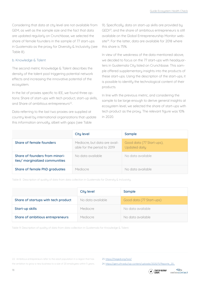Considering that data at city level are not available from GEM, as well as the sample size and the fact that data are updated regularly on Crunchbase, we selected the share of female founders in the sample of 77 start-ups in Guatemala as the proxy for Diversity & Inclusivity (see Table 8).

#### b. Knowledge & Talent

The second metric Knowledge & Talent describes the density of the talent pool triggering potential network effects and increasing the innovative potential of the ecosystem.

In the list of proxies specific to IEE, we found three options: Share of start-ups with tech product, start-up skills, and Share of ambitious entrepreneurs<sup>22</sup>.

Data referring to the last two proxies are supplied at country level by international organizations that update this information annually, albeit with gaps (see Table

9). Specifically, data on start-up skills are provided by GED<sup>123</sup>, and the share of ambitious entrepreneurs is still available on the Global Entrepreneurship Monitor website<sup>24</sup>. For the latter, data are available for 2018 where this share is 75%.

In view of the weakness of the data mentioned above, we decided to focus on the 77 start-ups with headquarters in Guatemala City listed on Crunchbase. This sample offered supplementary insights into the products of these start-ups. Using the description of the start-ups, it is possible to identify the technological content of their products.

In line with the previous metric, and considering the sample to be large enough to derive general insights at ecosystem level, we selected the share of start-ups with tech product as the proxy. The relevant figure was 10% in 2020.

|                                                                  | City level                                                   | Sample                                     |
|------------------------------------------------------------------|--------------------------------------------------------------|--------------------------------------------|
| Share of female founders                                         | Mediocre, but data are avail-<br>able for the period to 2019 | Good data (77 Start-ups),<br>Updated daily |
| Share of founders from minori-<br>ties/ marginalized communities | No data available                                            | No data available                          |
| Share of female PhD graduates                                    | Mediocre                                                     | No data available                          |

Table 8: Description of quality of data from data collection in Guatemala for Diversity & Inclusivity.

|                                     | <b>City level</b> | Sample                   |
|-------------------------------------|-------------------|--------------------------|
| Share of startups with tech product | No data available | Good data (77 Start-ups) |
| Start-up skills                     | Mediocre          | No data available        |
| Share of ambitious entrepreneurs    | Mediocre          | No data available        |

Table 9: Description of quality of data from data collection in Guatemala for Knowledge & Talent.

24. [https://gem.ufm.edu/wp-content/uploads/2020/11/Reporte\\_20...](https://gem.ufm.edu/wp-content/uploads/2020/11/Reporte_2019_2020_nov_18.pdf)

<sup>22.</sup> Ambitious entrepreneurs refer to the adult population in a region that has

the ambition to grow a new business to a size of 20 employees within 5 years.

<sup>23.</sup><https://thegedi.org/tool/>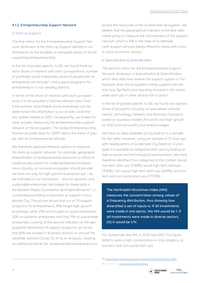#### **4.1.2. Entrepreneurship Support Network**

#### a. Start-up Support

The first metric for the Entrepreneurship Support Network dimension is the Start-up Support defined in our framework as the tangible or intangible assets of the EE supporting entrepreneurship.

In the list of proxies specific to IEE, we found three options: Share of mentors with start-up experience, number of profitable social enterprises, share of people with an entrepreneurial attitude25, and support programs for entrepreneurs in non-wealthy districts.

In terms of the share of mentors with start-up experience, it is not possible to find the relevant data. Even if the number of profitable social enterprises can be determined, the information is out of date, since the last update relates to 2015. Consequently, we looked for other proxies measuring the entrepreneurship support network of the ecosystem. The Global Entrepreneurship Monitor provides data for 2019<sup>26</sup> about the share of people with an entrepreneurial attitude.

We therefore explored different options to measure the start-up support network. For example, geographic diversification of entrepreneurial resources is critical to create access points for underrepresented entrepreneurs. Equally, an inclusive ecosystem should provide services not only for high-growth businesses but – as we indicated in our framework – also for dunamic and sustainable enterprises. We looked for these data in the Booklet Mapeo Ecosistema de Emprendimiento<sup>27</sup>, a comprehensive listing of providers of support in Guatemala City. The picture shows that out of 79 support programs for entrepreneurs, 43% target high-growth businesses, while 25% are focused on social enterprises, 20% on dynamic enterprises and only 11% on sustainable enterprises. Looking at the second indicator, i.e. the geographical distribution of support programs, we found that 85% are located in business districts or around the wealthier districts (Zones 10, 14, 16, or Antigua), creating an additional barrier for unrepresented entrepreneurs to

access the resources of the Guatemalan ecosystem. We believe that the geographical indicator is the best alternative proxy to measure the inclusiveness of the support network, which is 15% in the case of Guatemala (with support services being offered in areas with a lower socio-economic status).

#### b. Specialization & Diversification

The second metric for the Entrepreneurship Support Network dimension is Specialization & Diversification, which describes how diverse the support system is. For example, does the ecosystem mainly support one vertical (e.g. AgriTech) and regularly succeed in this sector, while start-ups in other sectors fail to grow?

In the list of proxies specific to IEE, we found two options: Share of programs focusing on specialized verticals (sector, technology, interest), and diversity of projects based on business models (for-profit and high-growth vs. NGO and non-profit) and revenue stages.

We have no data available at city level or in a sample for the latter. However, using our sample of 77 start-ups with headquarters in Guatemala City listed on Crunchbase, it is possible to categorize start-ups by looking at their purpose and technological advancement. We have therefore identified four categories in this context: Social low-tech start-ups (11.69%), social high-tech startups (3.90%), non-social high-tech start-ups (6.49%), and lowtech and non-social start-ups (77.92%).

**The Herfindahl-Hirschman Index (HHI) measures the concentration among values of a frequency distribution, thus showing how diversified a set of inputs is. If all investments were made in one sector, the HHI would be 1. If all investments were made in diverse sectors, (N) it would be 1/N.** 

For Guatemala, the HHI in 2020 was 0.63. This figure reflects quite a high concentration in one category, i.e. low-tech and non-social start-ups.

25. It refers to people considering entrepreneurship a desirable career option. 26. [https://gem.ufm.edu/wp-content/uploads/2020/11/Reporte\\_2019...](https://gem.ufm.edu/wp-content/uploads/2020/11/Reporte_2019_2020_nov_18.pdf)

<sup>27.</sup> Available on <www.startupguatemala.org>

![](_page_18_Picture_16.jpeg)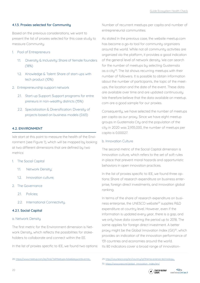#### **4.1.3. Proxies selected for Community**

Based on the previous considerations, we want to present the list of proxies selected for this case study to measure Community.

- 1. Pool of Entrepreneurs
	- 1.1. Diversity & Inclusivity: Share of female founders (18%)
	- 1.2. Knowledge & Talent: Share of start-ups with tech product (10%)
- 2. Entrepreneurship support network
	- 2.1. Start-up Support: Support programs for entre preneurs in non-wealthy districts (15%)
	- 2.2. Specialization & Diversification: Diversity of projects based on business models (0.63)

#### **4.2. ENVIRONMENT**

We start at this point to measure the health of the Environment (see Figure 1), which will be mapped by looking at two different dimensions that are defined by two metrics:

- 1. The Social Capital
	- 1.1. Network Density;
	- 1.2. Innovation culture;
- 2. The Governance
	- 2.1. Policies;
	- 2.2. International Connectivity.

#### **4.2.1. Social Capital**

#### a. Network Density

The first metric for the Environment dimension is Network Density, which reflects the possibilities for stakeholders to collaborate and connect within the EE.

In the list of proxies specific to IEE, we found two options:

Number of recurrent meetups per capita and number of entrepreneurial communities.

As stated in the previous case, the website meetup.com has become a go-to tool for community organizers around the world. While not all community activities are organized via the platform, it provides a good indication of the general level of network density. We can search for the number of meetups by selecting Guatemala as a city28. The list shows recurring meetups with their number of followers. It is possible to obtain information about the number of participants, the topic of the meetups, the location and the date of the event. These data are available over time and are updated continuously. We therefore believe that the data available on meetup. com are a good sample for our proxies.

Consequently, we have selected the number of meetups per capita as our proxy. Since we have eight meetup groups in Guatemala City and the population of the city in 2020 was 2,935,000, the number of meetups per capita is 0.00027.

#### b. Innovation Culture

The second metric of the Social Capital dimension is Innovation culture, which refers to the set of soft rules in place that prevent moral hazards and opportunistic behaviors in open innovation practices.

In the list of proxies specific to IEE, we found three options: Share of research expenditure on business enterprise, foreign direct investments, and innovation global ranking.

In terms of the share of research expenditure on business enterprise, the UNESCO website<sup>29</sup> supplies R&D expenditure at country level. However, even if the information is updated every year, there is a gap, and we only have data covering the period up to 2018. The same applies for foreign direct investment. A better proxy might be the Global Innovation Index (GII)<sup>30</sup>, which provides an indication of the innovation performance of 131 countries and economies around the world. Its 80 indicators cover a broad range of innovation-

![](_page_19_Picture_31.jpeg)

<sup>28.</sup> [https://www.meetup.com/es/find/?allMeetups=false&keywords=entre...](https://www.meetup.com/es/find/?allMeetups=false&keywords=entrepreneurship&radius=68&userFreeform=Guatemala%2C+Guatemala&mcId=c1015501&mcName=Guatemala%2C+GT&sort=default) 29. [http://uis.unesco.org/en/country/gt?theme=science-technology...](http://uis.unesco.org/en/country/gt?theme=science-technology-and-innovation)

<sup>30.</sup> [https://www.wipo.int/global\\_innovation\\_index/en/](https://www.wipo.int/global_innovation_index/en/)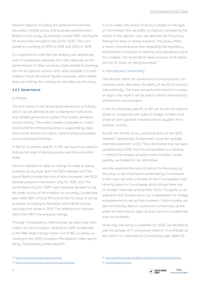relevant aspects, including the political environment, education, infrastructure, and business sophistication. Based on this proxy, Guatemala ranked 106th among the 131 economies included in the GII for 2020. This compared to a ranking of 107th in 2019 and 102th in 2018.

It is important to note that the ranking can deteriorate even if Guatemala improves, as it also depends on the performance of other countries. Data related to rankings are not an optimal solution and, when possible, it is preferable to have the actual figures. However, where better data are lacking, the ranking can be taken as the proxy.

#### **4.2.2. Governance**

#### a. Policies

The first metric in the Governance dimension is Policies, which can be defined as the fundamental institutions and reliable governance system that fosters entrepreneurial activity. This metric makes it possible to understand whether entrepreneurship is supported by regulations that reduce corruption, ease business processes and increase partnerships.

In the list of proxies specific to IEE, we found two options: Ratings for ease of doing business and the corruption index.

We first checked for data on ratings for ease of doing business at city level. Both the GEDI dataset and The World Bank provide this kind of data. However, the GEDI dataset presents information only for 2018, and The World Bank only for 2019<sup>31</sup>. We therefore decided to use the latter source of information as our proxy. Guatemala was rated 96th among 190 economies for ease of doing business, according to the latest World Bank annual rankings that relate to 2019. This reflected an improvement from 98 in the previous ratings.

Through Transparency International, we also have information on the corruption ranking for 2019: Guatemala is the 146th least corrupt nation out of 180 countries, according to the 2019 Corruption Perceptions Index reported by Transparency International<sup>32</sup>.

In such cases, the choice of proxy is based on the type of information that we prefer to capture, considering the metric. In this specific case, we selected the first proxy: Ratings for ease of doing business. This proxy offers a more comprehensive view regarding the regulatory environment conducive to starting and operating a local firm. Indeed, The World Bank takes account of 41 indicators for 10 topics on doing business<sup>33</sup>.

#### b. International Connectivity

The second metric for Governance is International Connectivity, which describes the ability of the EE to connect internationally. The more powerful the brand of a nation or region, the more it will be able to attract international investments and founders.

In the list of proxies specific to IEE, we found two options: Share of companies with sales in foreign markets and share of start-ups that moved to the ecosystem from another country.

As with the former proxy, we found data on the GEDI website<sup>34</sup>. Specifically, Guatemala's score for variable internationalization is 0.12. This information has not been updated since 2018, and it is comparable to a ranking – making the analysis process more complex. Consequently, we looked for an alternative.

We also explored the second option for the proxy by focusing on the information published by Crunchbase. In this case, we took a sample of the 17 companies most recently listed on Crunchbase, which shows there are no foreign nationals among their CEOs. This gives us an indication that Guatemala is not a destination for foreign entrepreneurs to set up their business. Unfortunately, we did not find any data on outbound connectivity, as the share of international sales of start-ups from Guatemala was not available.

Since only one proxy is available for 2020, we decided to use the sample of 17 companies listed on Crunchbase as the metric for International Connectivity (see Table 10).

<sup>31.</sup> <https://www.doingbusiness.org/en/rankings> 32. <https://www.transparency.org/en/countries/guatemala>

<sup>33.</sup> [https://openknowledge.worldbank.org/bitstream/handle/10986/32436...](https://openknowledge.worldbank.org/bitstream/handle/10986/32436/9781464814402_Ch06.pdf) 34. <https://thegedi.org/tool/>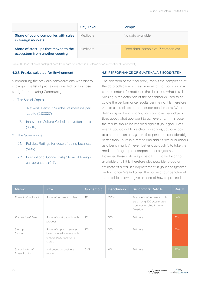|                                                                        | City-Level | Sample                             |
|------------------------------------------------------------------------|------------|------------------------------------|
| Share of young companies with sales<br>in foreign markets              | Mediocre   | No data available                  |
| Share of start-ups that moved to the<br>ecosystem from another country | Mediocre   | Good data (sample of 17 companies) |

Table 10: Description of quality of data from data collection in Guatemala for International Connectivity.

#### **4.2.3. Proxies selected for Environment**

Summarizing the previous considerations, we want to show you the list of proxies we selected for this case study for measuring Community.

- 1. The Social Capital
	- 1.1. Network Density: Number of meetups per capita (0.00027)
	- 1.2. Innovation Culture: Global Innovation Index (106th)
- 2. The Governance
	- 2.1. Policies: Ratings for ease of doing business (96th)
	- 2.2. International Connectivity: Share of foreign entrepreneurs (0%).

**4.3. PERFORMANCE OF GUATEMALA'S ECOSYSTEM**

The selection of the final proxy marks the completion of the data collection process, meaning that you can proceed to enter information in the data tool. What is still missing is the definition of the benchmarks used to calculate the performance results per metric. It is therefore vital to use realistic and adequate benchmarks. When defining your benchmarks, you can have clear objectives about what you want to achieve and, in this case, the results should be checked against your goal. However, if you do not have clear objectives, you can look at a comparison ecosystem that performs considerably better than yours in a metric and add its actual numbers as a benchmark. An even better approach is to take the median of a group of comparison ecosystems. However, these data might be difficult to find – or not available at all. It is therefore also possible to add an estimate of a realistic improvement in your ecosystem's performance. We indicated the name of our benchmark in the table below to give an idea of how to proceed.

| <b>Metric</b>                       | Proxy                                                                                        | Guatemala | <b>Benchmark</b> | <b>Benchmark Details</b>                                                                         | Result |
|-------------------------------------|----------------------------------------------------------------------------------------------|-----------|------------------|--------------------------------------------------------------------------------------------------|--------|
| Diversity & Inclusivity             | Share of female founders                                                                     | 18%       | 15.5%            | Average % of female found-<br>ers among 550 accelerated<br>start-ups tracked in Latin<br>America | 116%   |
| Knowledge & Talent                  | Share of startups with tech<br>product                                                       | 10%       | 30%              | Estimate                                                                                         | 33%    |
| Startup<br>Support                  | Share of support services<br>being offered in areas with<br>a lower socio-economic<br>status | 15%       | 30%              | Estimate                                                                                         | 50%    |
| Specialization &<br>Diversification | HHI based on business<br>model                                                               | 0.63      | 0.3              | Estimate                                                                                         | 210%   |

![](_page_21_Picture_14.jpeg)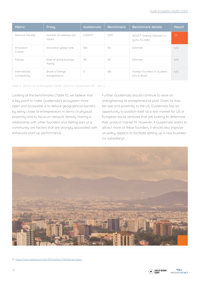| <b>Metric</b>                 | Proxy                             | Guatemala  | <b>Benchmark</b> | <b>Benchmark details</b>                                   | Result |
|-------------------------------|-----------------------------------|------------|------------------|------------------------------------------------------------|--------|
| Network Density               | Number of meetups per<br>capita   | 0.00027    | 0.011            | 18.323 <sup>35</sup> meetup followers in<br>Ouito, Ecuador | $2\%$  |
| Innovation<br>Culture         | Innovation global rank            | 106        | 50               | Estimate                                                   | n/a    |
| Policies                      | Ease of doing business<br>Rating  | 96         | 50               | Estimate                                                   | n/a    |
| International<br>Connectivity | Share of foreign<br>entrepreneurs | $\bigcirc$ | 6%               | Foreign founders in accelera-<br>tors in Brazil            | n/a    |

Table 11: Results of the Ecosystem Health Check for Guatemala's IEE - Part 2.

Looking at the benchmarks (Table 11), we believe that a key point to make Guatemala's ecosystem more open and accessible is to reduce geographical barriers by being closer to entrepreneurs in terms of physical proximity and to focus on network density. Having a relationship with other founders and feeling part of a community are factors that are strongly associated with enhanced start-up performance.

Further, Guatemala should continue to work on strengthening its entrepreneurial pool. Given its market size and proximity to the US, Guatemala has an opportunity to position itself as a test market for US or European social ventures that are looking to determine their product market fit. However, if Guatemala wants to attract more of these founders, it should also improve on policy aspects to facilitate setting up a new business (or subsidiary).

![](_page_22_Picture_5.jpeg)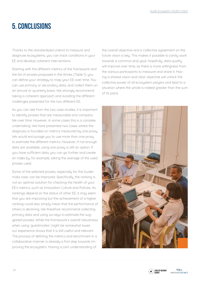# **5. CONCLUSIONS**

Thanks to the standardized criteria to measure and diagnose ecosystems, you can track conditions in your EE and develop coherent interventions.

Starting with the different metrics of the framework and the list of proxies proposed in the Annex (Table 1), you can define your strategy to map your EE over time. You can use primary or secondary data, and collect them on an annual or quarterly basis. We strongly recommend taking a coherent approach and avoiding the different challenges presented for the two different EE.

As you can see from the two case studies, it is important to identify proxies that are measurable and comparable over time. However, in some cases this is a complex undertaking. We have presented two cases where the diagnosis is founded on metrics measured by one proxy. We would encourage you to use more than one proxy to estimate the different metrics. However, if not enough data are available, using one proxy is still an option. If you have sufficient data, you can go further and create an index by, for example, taking the average of the used proxies used.

Some of the selected proxies, especially for the Guatemala case, can be improved. Specifically, the ranking is not an optimal solution for checking the health of your EE's metrics, such as Innovation Culture and Policies. As rankings depend on the status of other EE, it may seem that you are improving but the achievement of a higher ranking could also simply mean that the performance of others is declining. We therefore recommend collecting primary data and using surveys to estimate the suggested proxies. While the framework's overall robustness when using 'guestimates' might be somewhat lower, our experience shows that it is still useful and relevant. The process of defining the metrics and benchmark in a collaborative manner is already a first step towards improving the ecosystem. Having a joint understanding of

the overall objective and a collective agreement on the future vision is key. This makes it possible to jointly work towards a common end-goal. Hopefully, data quality will improve over time, as there is more willingness from the various participants to measure and share it. Having a shared vision and clear objective will unlock the collective power of all ecosystem players and lead to a situation where the whole is indeed greater than the sum of its parts.

![](_page_23_Picture_7.jpeg)

![](_page_23_Picture_8.jpeg)

24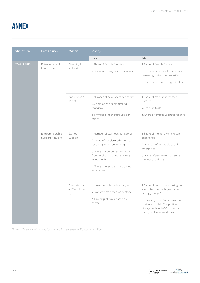# **ANNEX**

| <b>Structure</b> | <b>Dimension</b>                    | <b>Metric</b>                            | Proxy                                                                                                                                                                                                                                         |                                                                                                                                                                                                                                     |
|------------------|-------------------------------------|------------------------------------------|-----------------------------------------------------------------------------------------------------------------------------------------------------------------------------------------------------------------------------------------------|-------------------------------------------------------------------------------------------------------------------------------------------------------------------------------------------------------------------------------------|
|                  |                                     |                                          | <b>HGE</b>                                                                                                                                                                                                                                    | <b>IEE</b>                                                                                                                                                                                                                          |
| <b>COMMUNITY</b> | Entrepreneurial<br>Landscape        | Diversity &<br>Inclusivity               | 1. Share of female founders<br>2. Share of Foreign-Born founders                                                                                                                                                                              | 1. Share of female founders<br>2. Share of founders from minori-<br>ties/marginalized communities<br>3. Share of female PhD graduates                                                                                               |
|                  |                                     | Knowledge &<br>Talent                    | 1. Number of developers per capita<br>2. Share of engineers among<br>founders<br>3. Number of tech start-ups per<br>capita                                                                                                                    | 1. Share of start-ups with tech<br>product<br>2. Start-up Skills<br>3. Share of ambitious entrepreneurs                                                                                                                             |
|                  | Entrepreneurship<br>Support Network | Startup<br>Support                       | 1. Number of start-ups per capita<br>2. Share of accelerated start-ups<br>receiving follow-on funding<br>3. Share of companies with exits<br>from total companies receiving<br>investments<br>4. Share of mentors with start-up<br>experience | 1. Share of mentors with startup<br>experience<br>2. Number of profitable social<br>enterprises<br>3. Share of people with an entre-<br>preneurial attitude                                                                         |
|                  |                                     | Specialization<br>& Diversifica-<br>tion | 1. Investments based on stages<br>2. Investments based on sectors<br>3. Diversity of firms based on<br>sectors                                                                                                                                | 1. Share of programs focusing on<br>specialized verticals (sector, tech-<br>nology, interest)<br>2. Diversity of projects based on<br>business models (for-profit and<br>high-growth vs. NGO and non-<br>profit) and revenue stages |

Table 1: Overview of proxies for the two Entrepreneurial Ecosystems - Part 1

![](_page_24_Picture_4.jpeg)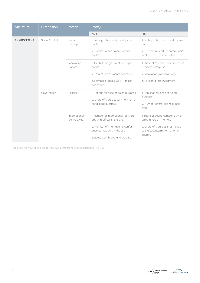| <b>Structure</b>   | <b>Dimension</b> | <b>Metric</b>                 | Proxy                                                                                                                                                                             |                                                                                                                                              |
|--------------------|------------------|-------------------------------|-----------------------------------------------------------------------------------------------------------------------------------------------------------------------------------|----------------------------------------------------------------------------------------------------------------------------------------------|
|                    |                  |                               | <b>HGE</b>                                                                                                                                                                        | <b>IEE</b>                                                                                                                                   |
| <b>ENVIRONMENT</b> | Social Capital   | Network<br>Density            | 1. Participants in tech meetups per<br>capita<br>2. Number of tech meetups per<br>capita                                                                                          | 1. Participants in tech meetups per<br>capita<br>2. Number of start-up communities<br>/entrepreneur communities                              |
|                    |                  | Innovation<br>Culture         | 1. Total of foreign investments per<br>capita<br>2. Total VC investments per capita<br>3. Number of deals EUR > 1 milion<br>per capita                                            | 1. Share of research expenditure on<br>business enterprise<br>2. Innovation global ranking<br>3. Foreign direct investment                   |
|                    | Governance       | Policies                      | 1. Ratings for ease of doing business<br>2. Share of start-ups with no interna-<br>tional headquarters                                                                            | 1. Rankings for ease of doing<br>business<br>2. Number of pro-business initia-<br>tives                                                      |
|                    |                  | International<br>Connectivity | 1. Number of international top start-<br>ups with offices in the city<br>2. Number of international confer-<br>ence participants in the city<br>3. Ecosystem brand and visibility | 1. Share of young companies with<br>sales in foreign markets<br>2. Share of start-ups that moved<br>to the ecosystem from another<br>country |

Table 1: Overview of proxies for the two Entrepreneurial Ecosystems - Part 2

![](_page_25_Picture_3.jpeg)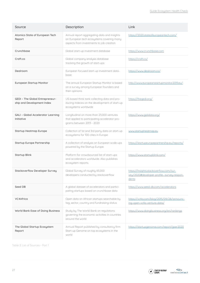| Source                                                        | Description                                                                                                                          | Link                                                                                           |
|---------------------------------------------------------------|--------------------------------------------------------------------------------------------------------------------------------------|------------------------------------------------------------------------------------------------|
| Atomico State of European Tech<br>Report                      | Annual report aggregating data and insights<br>on European tech ecosystems covering many<br>aspects from investments to job creation | https://2020.stateofeuropeantech.com/                                                          |
| Crunchbase                                                    | Global start-up investment database                                                                                                  | https://www.crunchbase.com                                                                     |
| Craft.co                                                      | Global company analysis database<br>tracking the growth of start-ups                                                                 | https://craft.co/                                                                              |
| Dealroom                                                      | European focused start-up investment data-<br>base                                                                                   | https://www.dealroom.co/                                                                       |
| <b>European Startup Monitor</b>                               | The annual European Startup Monitor is based<br>on a survey among European founders and<br>their opinions                            | http://www.europeanstartupmonitor2019.eu/                                                      |
| GEDI - The Global Entrepreneur-<br>ship and Development Index | US-based think tank collecting data and pro-<br>ducing indeces on the development of start-up<br>ecosystems worldwide                | https://thegedi.org/                                                                           |
| <b>GALI - Global Accelerator Learning</b><br>Initiative       | Longitudinal on more than 23,000 ventures<br>that applied to participating accelerator pro-<br>grams between 2013 - 2020             | https://www.galidata.org/                                                                      |
| <b>Startup Heatmap Europe</b>                                 | Collection of 1st and 3rd party data on start-up<br>ecosystems for 100 cities in Europe                                              | www.startupheatmap.eu                                                                          |
| Startup Europe Partnership                                    | A collection of analysis on European scale-ups<br>powered by the Startup Europe.                                                     | https://startupeuropepartnership.eu/reports/                                                   |
| <b>Startup Blink</b>                                          | Platform for crowdsourced list of start-ups<br>and accelerators worldwide. Also publishes<br>ecosystem reports.                      | https://www.startupblink.com/                                                                  |
| <b>Stackoverflow Developer Survey</b>                         | Global Survey of roughly 65,000<br>developers conducted by stackoverflow                                                             | https://insights.stackoverflow.com/sur-<br>yey/2020#developer-profile--survey-respon-<br>dents |
| Seed DB                                                       | A global dataset of accelerators and partici-<br>pating startups based on crunchbase data                                            | https://www.seed-db.com/accelerators                                                           |
| VC4Africa                                                     | Open data on African startups searchable by<br>tag, sector, country and fundraising status                                           | https://vc4a.com/blog/2015/09/28/announc-<br>ing-open-vc4a-venture-data/                       |
| World Bank Ease of Doing Business                             | Study by The World Bank on regulations<br>governing the economic activities in countries<br>around the world                         | https://www.doingbusiness.org/en/rankings                                                      |
| The Global Startup Ecosystem<br>Report                        | Annual Report published by consultancy firm<br>Start-up Genome on top ecosystems in the<br>world                                     | https://startupgenome.com/report/gser2020                                                      |

Table 2: List of Sources - Part 1

![](_page_26_Picture_4.jpeg)